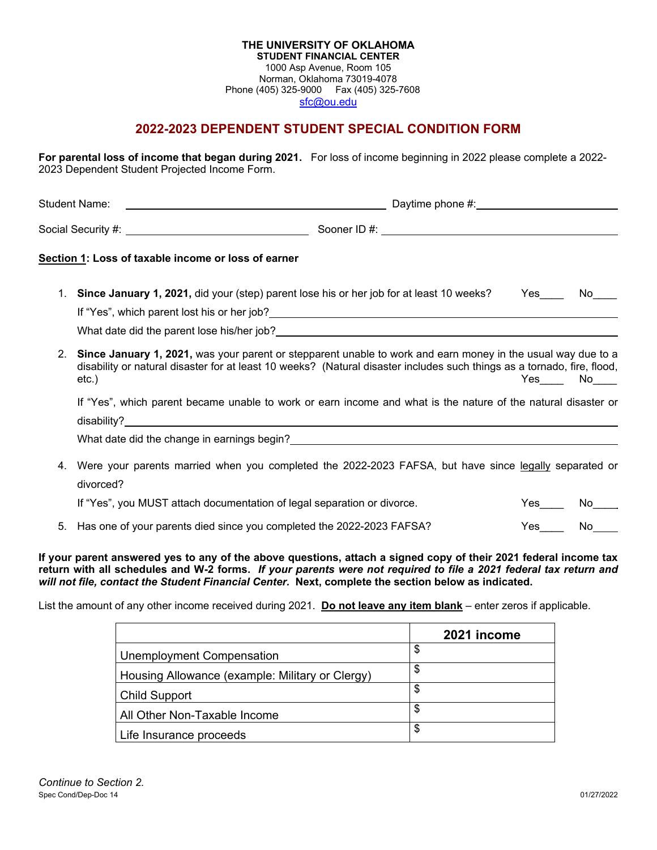## **THE UNIVERSITY OF OKLAHOMA STUDENT FINANCIAL CENTER** 1000 Asp Avenue, Room 105 Norman, Oklahoma 73019-4078 Phone (405) 325-9000 Fax (405) 325-7608 [sfc@ou.edu](http://www.ou.edu/financialaid.html)

## **2022-2023 DEPENDENT STUDENT SPECIAL CONDITION FORM**

**For parental loss of income that began during 2021.** For loss of income beginning in 2022 please complete a 2022- 2023 Dependent Student Projected Income Form.

|                | Section 1: Loss of taxable income or loss of earner                                                                                                                                                                                                           |  |        |  |
|----------------|---------------------------------------------------------------------------------------------------------------------------------------------------------------------------------------------------------------------------------------------------------------|--|--------|--|
|                | 1. Since January 1, 2021, did your (step) parent lose his or her job for at least 10 weeks?                                                                                                                                                                   |  | Yes No |  |
| 2 <sub>1</sub> | Since January 1, 2021, was your parent or stepparent unable to work and earn money in the usual way due to a<br>disability or natural disaster for at least 10 weeks? (Natural disaster includes such things as a tornado, fire, flood,<br>Yes No<br>$etc.$ ) |  |        |  |
|                | If "Yes", which parent became unable to work or earn income and what is the nature of the natural disaster or<br>What date did the change in earnings begin?<br><u> What date did the change in earnings begin?</u>                                           |  |        |  |
| 4.             | Were your parents married when you completed the 2022-2023 FAFSA, but have since legally separated or<br>divorced?                                                                                                                                            |  |        |  |
|                | If "Yes", you MUST attach documentation of legal separation or divorce.                                                                                                                                                                                       |  | No.    |  |

5. Has one of your parents died since you completed the 2022-2023 FAFSA? Yes No

**If your parent answered yes to any of the above questions, attach a signed copy of their 2021 federal income tax return with all schedules and W-2 forms.** *If your parents were not required to file a 2021 federal tax return and*  will not file, contact the Student Financial Center. Next, complete the section below as indicated.

List the amount of any other income received during 2021. **Do not leave any item blank** – enter zeros if applicable.

|                                                 | 2021 income |
|-------------------------------------------------|-------------|
| Unemployment Compensation                       | \$          |
| Housing Allowance (example: Military or Clergy) |             |
| Child Support                                   |             |
| All Other Non-Taxable Income                    |             |
| Life Insurance proceeds                         |             |